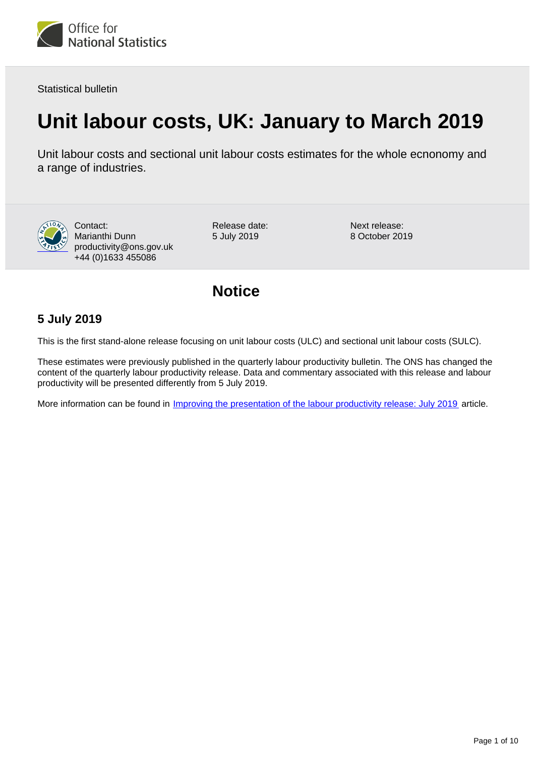

Statistical bulletin

# **Unit labour costs, UK: January to March 2019**

Unit labour costs and sectional unit labour costs estimates for the whole ecnonomy and a range of industries.



Contact: Marianthi Dunn productivity@ons.gov.uk +44 (0)1633 455086

Release date: 5 July 2019

Next release: 8 October 2019

# **Notice**

## **5 July 2019**

This is the first stand-alone release focusing on unit labour costs (ULC) and sectional unit labour costs (SULC).

These estimates were previously published in the quarterly labour productivity bulletin. The ONS has changed the content of the quarterly labour productivity release. Data and commentary associated with this release and labour productivity will be presented differently from 5 July 2019.

More information can be found in *Improving the presentation of the labour productivity release: July 2019* article.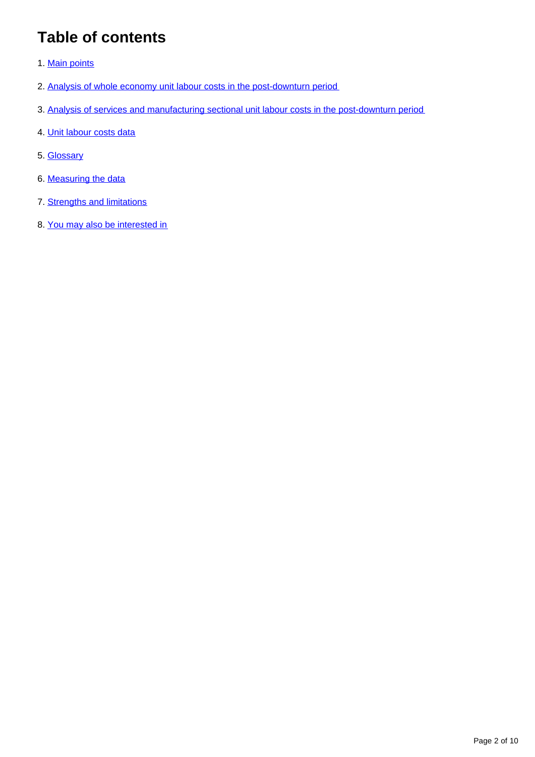# **Table of contents**

- 1. [Main points](#page-2-0)
- 2. [Analysis of whole economy unit labour costs in the post-downturn period](#page-2-1)
- 3. [Analysis of services and manufacturing sectional unit labour costs in the post-downturn period](#page-3-0)
- 4. [Unit labour costs data](#page-5-0)
- 5. [Glossary](#page-6-0)
- 6. [Measuring the data](#page-6-1)
- 7. [Strengths and limitations](#page-7-0)
- 8. [You may also be interested in](#page-8-0)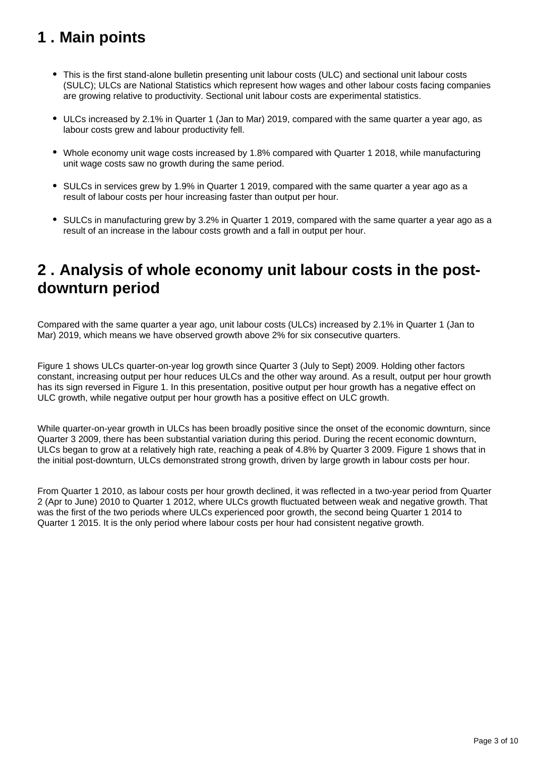# <span id="page-2-0"></span>**1 . Main points**

- This is the first stand-alone bulletin presenting unit labour costs (ULC) and sectional unit labour costs (SULC); ULCs are National Statistics which represent how wages and other labour costs facing companies are growing relative to productivity. Sectional unit labour costs are experimental statistics.
- ULCs increased by 2.1% in Quarter 1 (Jan to Mar) 2019, compared with the same quarter a year ago, as labour costs grew and labour productivity fell.
- Whole economy unit wage costs increased by 1.8% compared with Quarter 1 2018, while manufacturing unit wage costs saw no growth during the same period.
- SULCs in services grew by 1.9% in Quarter 1 2019, compared with the same quarter a year ago as a result of labour costs per hour increasing faster than output per hour.
- SULCs in manufacturing grew by 3.2% in Quarter 1 2019, compared with the same quarter a year ago as a result of an increase in the labour costs growth and a fall in output per hour.

# <span id="page-2-1"></span>**2 . Analysis of whole economy unit labour costs in the postdownturn period**

Compared with the same quarter a year ago, unit labour costs (ULCs) increased by 2.1% in Quarter 1 (Jan to Mar) 2019, which means we have observed growth above 2% for six consecutive quarters.

Figure 1 shows ULCs quarter-on-year log growth since Quarter 3 (July to Sept) 2009. Holding other factors constant, increasing output per hour reduces ULCs and the other way around. As a result, output per hour growth has its sign reversed in Figure 1. In this presentation, positive output per hour growth has a negative effect on ULC growth, while negative output per hour growth has a positive effect on ULC growth.

While quarter-on-year growth in ULCs has been broadly positive since the onset of the economic downturn, since Quarter 3 2009, there has been substantial variation during this period. During the recent economic downturn, ULCs began to grow at a relatively high rate, reaching a peak of 4.8% by Quarter 3 2009. Figure 1 shows that in the initial post-downturn, ULCs demonstrated strong growth, driven by large growth in labour costs per hour.

From Quarter 1 2010, as labour costs per hour growth declined, it was reflected in a two-year period from Quarter 2 (Apr to June) 2010 to Quarter 1 2012, where ULCs growth fluctuated between weak and negative growth. That was the first of the two periods where ULCs experienced poor growth, the second being Quarter 1 2014 to Quarter 1 2015. It is the only period where labour costs per hour had consistent negative growth.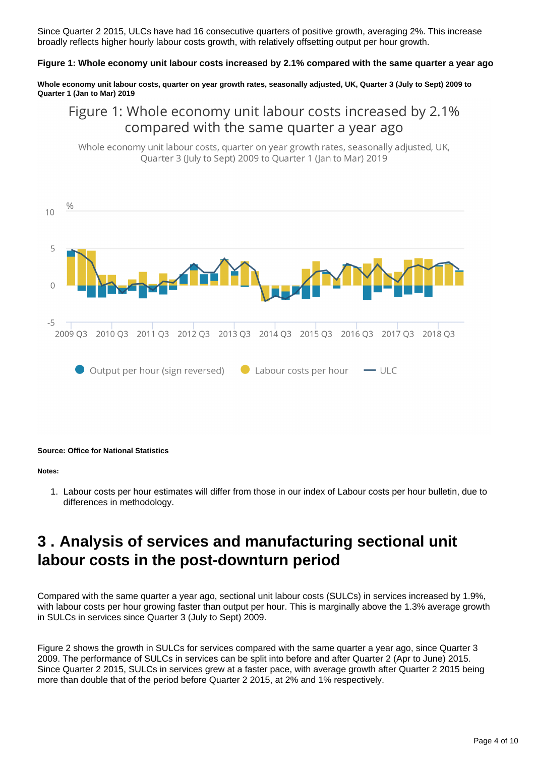Since Quarter 2 2015, ULCs have had 16 consecutive quarters of positive growth, averaging 2%. This increase broadly reflects higher hourly labour costs growth, with relatively offsetting output per hour growth.

### **Figure 1: Whole economy unit labour costs increased by 2.1% compared with the same quarter a year ago**

**Whole economy unit labour costs, quarter on year growth rates, seasonally adjusted, UK, Quarter 3 (July to Sept) 2009 to Quarter 1 (Jan to Mar) 2019**

## Figure 1: Whole economy unit labour costs increased by 2.1% compared with the same quarter a year ago

Whole economy unit labour costs, quarter on year growth rates, seasonally adjusted, UK, Quarter 3 (July to Sept) 2009 to Quarter 1 (Jan to Mar) 2019



#### **Source: Office for National Statistics**

#### **Notes:**

1. Labour costs per hour estimates will differ from those in our index of Labour costs per hour bulletin, due to differences in methodology.

## <span id="page-3-0"></span>**3 . Analysis of services and manufacturing sectional unit labour costs in the post-downturn period**

Compared with the same quarter a year ago, sectional unit labour costs (SULCs) in services increased by 1.9%, with labour costs per hour growing faster than output per hour. This is marginally above the 1.3% average growth in SULCs in services since Quarter 3 (July to Sept) 2009.

Figure 2 shows the growth in SULCs for services compared with the same quarter a year ago, since Quarter 3 2009. The performance of SULCs in services can be split into before and after Quarter 2 (Apr to June) 2015. Since Quarter 2 2015, SULCs in services grew at a faster pace, with average growth after Quarter 2 2015 being more than double that of the period before Quarter 2 2015, at 2% and 1% respectively.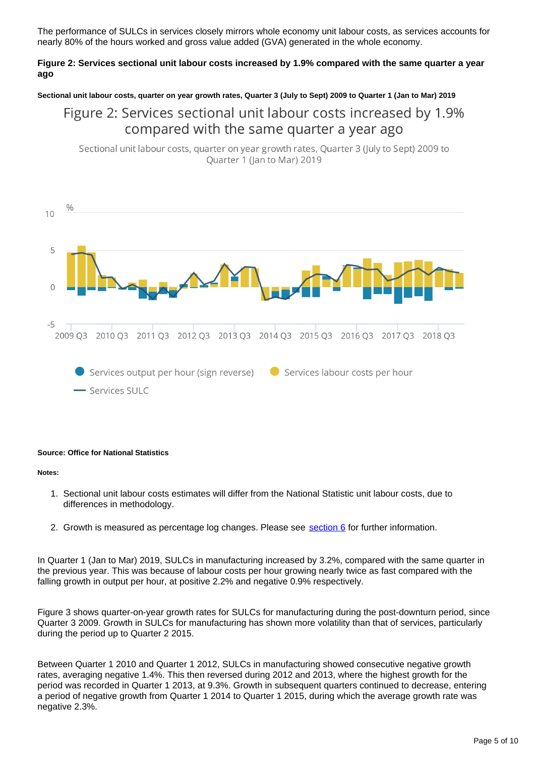The performance of SULCs in services closely mirrors whole economy unit labour costs, as services accounts for nearly 80% of the hours worked and gross value added (GVA) generated in the whole economy.

## **Figure 2: Services sectional unit labour costs increased by 1.9% compared with the same quarter a year ago**

**Sectional unit labour costs, quarter on year growth rates, Quarter 3 (July to Sept) 2009 to Quarter 1 (Jan to Mar) 2019**

## Figure 2: Services sectional unit labour costs increased by 1.9% compared with the same quarter a year ago

Sectional unit labour costs, quarter on year growth rates, Quarter 3 (July to Sept) 2009 to Quarter 1 (Jan to Mar) 2019



### **Source: Office for National Statistics**

#### **Notes:**

- 1. Sectional unit labour costs estimates will differ from the National Statistic unit labour costs, due to differences in methodology.
- 2. Growth is measured as percentage log changes. Please see **section 6** for further information.

In Quarter 1 (Jan to Mar) 2019, SULCs in manufacturing increased by 3.2%, compared with the same quarter in the previous year. This was because of labour costs per hour growing nearly twice as fast compared with the falling growth in output per hour, at positive 2.2% and negative 0.9% respectively.

Figure 3 shows quarter-on-year growth rates for SULCs for manufacturing during the post-downturn period, since Quarter 3 2009. Growth in SULCs for manufacturing has shown more volatility than that of services, particularly during the period up to Quarter 2 2015.

Between Quarter 1 2010 and Quarter 1 2012, SULCs in manufacturing showed consecutive negative growth rates, averaging negative 1.4%. This then reversed during 2012 and 2013, where the highest growth for the period was recorded in Quarter 1 2013, at 9.3%. Growth in subsequent quarters continued to decrease, entering a period of negative growth from Quarter 1 2014 to Quarter 1 2015, during which the average growth rate was negative 2.3%.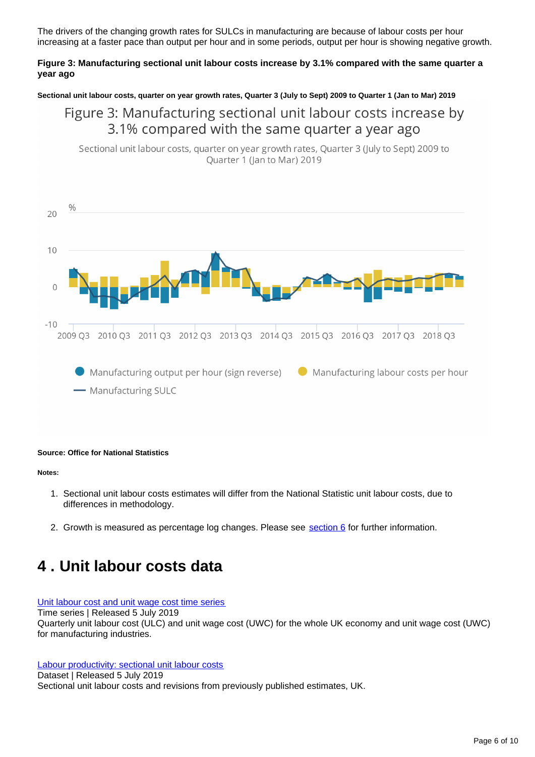The drivers of the changing growth rates for SULCs in manufacturing are because of labour costs per hour increasing at a faster pace than output per hour and in some periods, output per hour is showing negative growth.

## **Figure 3: Manufacturing sectional unit labour costs increase by 3.1% compared with the same quarter a year ago**

**Sectional unit labour costs, quarter on year growth rates, Quarter 3 (July to Sept) 2009 to Quarter 1 (Jan to Mar) 2019**

## Figure 3: Manufacturing sectional unit labour costs increase by 3.1% compared with the same quarter a year ago

Sectional unit labour costs, quarter on year growth rates, Quarter 3 (July to Sept) 2009 to Quarter 1 (Jan to Mar) 2019



#### **Source: Office for National Statistics**

#### **Notes:**

- 1. Sectional unit labour costs estimates will differ from the National Statistic unit labour costs, due to differences in methodology.
- 2. Growth is measured as percentage log changes. Please see **section 6** for further information.

## <span id="page-5-0"></span>**4 . Unit labour costs data**

#### [Unit labour cost and unit wage cost time series](https://www.ons.gov.uk/employmentandlabourmarket/peopleinwork/labourproductivity/datasets/unitlabourcostandunitwagecosttimeseries)

Time series | Released 5 July 2019

Quarterly unit labour cost (ULC) and unit wage cost (UWC) for the whole UK economy and unit wage cost (UWC) for manufacturing industries.

[Labour productivity: sectional unit labour costs](https://www.ons.gov.uk/employmentandlabourmarket/peopleinwork/labourproductivity/datasets/sectionalunitlabourcosts) Dataset | Released 5 July 2019 Sectional unit labour costs and revisions from previously published estimates, UK.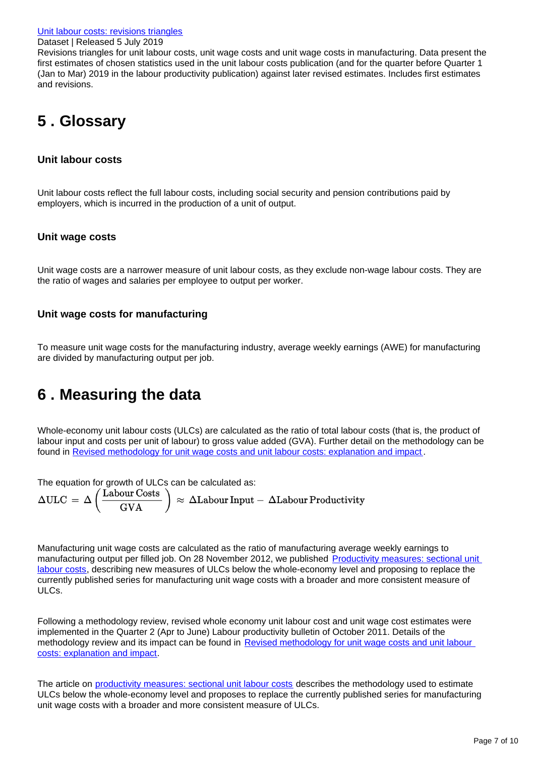Revisions triangles for unit labour costs, unit wage costs and unit wage costs in manufacturing. Data present the first estimates of chosen statistics used in the unit labour costs publication (and for the quarter before Quarter 1 (Jan to Mar) 2019 in the labour productivity publication) against later revised estimates. Includes first estimates and revisions.

# <span id="page-6-0"></span>**5 . Glossary**

## **Unit labour costs**

Unit labour costs reflect the full labour costs, including social security and pension contributions paid by employers, which is incurred in the production of a unit of output.

## **Unit wage costs**

Unit wage costs are a narrower measure of unit labour costs, as they exclude non-wage labour costs. They are the ratio of wages and salaries per employee to output per worker.

## **Unit wage costs for manufacturing**

To measure unit wage costs for the manufacturing industry, average weekly earnings (AWE) for manufacturing are divided by manufacturing output per job.

# <span id="page-6-1"></span>**6 . Measuring the data**

Whole-economy unit labour costs (ULCs) are calculated as the ratio of total labour costs (that is, the product of labour input and costs per unit of labour) to gross value added (GVA). Further detail on the methodology can be found in [Revised methodology for unit wage costs and unit labour costs: explanation and impact](https://webarchive.nationalarchives.gov.uk/20160105231317/http:/www.ons.gov.uk/ons/rel/icp/productivity-measures/revised-methodology-for-unit-wage-costs-and-unit-labour-costs--explanation-and-impact/index.html) .

The equation for growth of ULCs can be calculated as:<br>  $\Delta \text{ULC} = \Delta \left( \frac{\text{Labour Costs}}{\text{GVA}} \right) \approx \Delta \text{Labour Input} - \Delta \text{Labour Productivity}$ 

Manufacturing unit wage costs are calculated as the ratio of manufacturing average weekly earnings to manufacturing output per filled job. On 28 November 2012, we published [Productivity measures: sectional unit](http://webarchive.nationalarchives.gov.uk/20160105160709/http:/www.ons.gov.uk/ons/rel/icp/productivity-measures/sectional-unit-labour-costs/index.html)  [labour costs](http://webarchive.nationalarchives.gov.uk/20160105160709/http:/www.ons.gov.uk/ons/rel/icp/productivity-measures/sectional-unit-labour-costs/index.html), describing new measures of ULCs below the whole-economy level and proposing to replace the currently published series for manufacturing unit wage costs with a broader and more consistent measure of ULCs.

Following a methodology review, revised whole economy unit labour cost and unit wage cost estimates were implemented in the Quarter 2 (Apr to June) Labour productivity bulletin of October 2011. Details of the methodology review and its impact can be found in Revised methodology for unit wage costs and unit labour [costs: explanation and impact.](http://www.ons.gov.uk/ons/dcp171766_235699.pdf)

The article on [productivity measures: sectional unit labour costs](http://webarchive.nationalarchives.gov.uk/20160105160709/http:/www.ons.gov.uk/ons/rel/icp/productivity-measures/sectional-unit-labour-costs/index.html) describes the methodology used to estimate ULCs below the whole-economy level and proposes to replace the currently published series for manufacturing unit wage costs with a broader and more consistent measure of ULCs.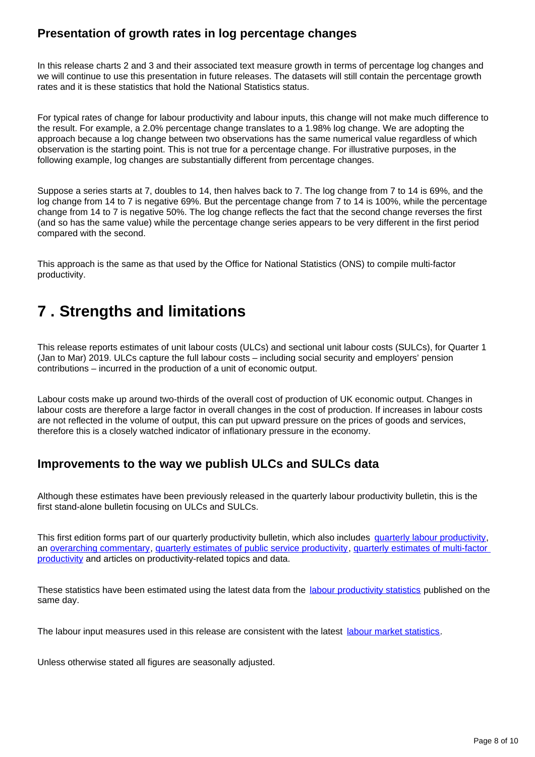## **Presentation of growth rates in log percentage changes**

In this release charts 2 and 3 and their associated text measure growth in terms of percentage log changes and we will continue to use this presentation in future releases. The datasets will still contain the percentage growth rates and it is these statistics that hold the National Statistics status.

For typical rates of change for labour productivity and labour inputs, this change will not make much difference to the result. For example, a 2.0% percentage change translates to a 1.98% log change. We are adopting the approach because a log change between two observations has the same numerical value regardless of which observation is the starting point. This is not true for a percentage change. For illustrative purposes, in the following example, log changes are substantially different from percentage changes.

Suppose a series starts at 7, doubles to 14, then halves back to 7. The log change from 7 to 14 is 69%, and the log change from 14 to 7 is negative 69%. But the percentage change from 7 to 14 is 100%, while the percentage change from 14 to 7 is negative 50%. The log change reflects the fact that the second change reverses the first (and so has the same value) while the percentage change series appears to be very different in the first period compared with the second.

This approach is the same as that used by the Office for National Statistics (ONS) to compile multi-factor productivity.

# <span id="page-7-0"></span>**7 . Strengths and limitations**

This release reports estimates of unit labour costs (ULCs) and sectional unit labour costs (SULCs), for Quarter 1 (Jan to Mar) 2019. ULCs capture the full labour costs – including social security and employers' pension contributions – incurred in the production of a unit of economic output.

Labour costs make up around two-thirds of the overall cost of production of UK economic output. Changes in labour costs are therefore a large factor in overall changes in the cost of production. If increases in labour costs are not reflected in the volume of output, this can put upward pressure on the prices of goods and services, therefore this is a closely watched indicator of inflationary pressure in the economy.

## **Improvements to the way we publish ULCs and SULCs data**

Although these estimates have been previously released in the quarterly labour productivity bulletin, this is the first stand-alone bulletin focusing on ULCs and SULCs.

This first edition forms part of our quarterly productivity bulletin, which also includes [quarterly labour productivity](https://www.ons.gov.uk/employmentandlabourmarket/peopleinwork/labourproductivity/bulletins/labourproductivity/octobertodecember2018), an [overarching commentary](https://www.ons.gov.uk/employmentandlabourmarket/peopleinwork/labourproductivity/articles/ukproductivityintroduction/previousReleases), [quarterly estimates of public service productivity,](https://www.ons.gov.uk/employmentandlabourmarket/peopleinwork/labourproductivity/articles/quarterlypublicserviceproductivityexperimentalstatistics/previousReleases) [quarterly estimates of multi-factor](https://www.ons.gov.uk/economy/economicoutputandproductivity/productivitymeasures/articles/multifactorproductivityestimates/previousReleases)  [productivity](https://www.ons.gov.uk/economy/economicoutputandproductivity/productivitymeasures/articles/multifactorproductivityestimates/previousReleases) and articles on productivity-related topics and data.

These statistics have been estimated using the latest data from the [labour productivity statistics](https://www.ons.gov.uk/employmentandlabourmarket/peopleinwork/labourproductivity/bulletins/labourproductivity/octobertodecember2018) published on the same day.

The labour input measures used in this release are consistent with the latest [labour market statistics.](http://%20https://www.ons.gov.uk/employmentandlabourmarket/peopleinwork/employmentandemployeetypes/bulletins/uklabourmarket/latest)

Unless otherwise stated all figures are seasonally adjusted.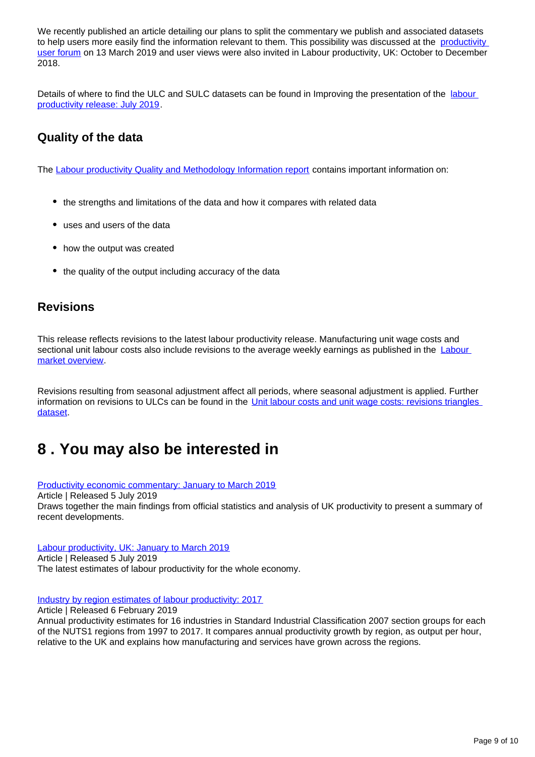We recently published an article detailing our plans to split the commentary we publish and associated datasets to help users more easily find the information relevant to them. This possibility was discussed at the productivity [user forum](https://www.slideshare.net/statisticsONS/uk-productivity-user-forum) on 13 March 2019 and user views were also invited in Labour productivity, UK: October to December 2018.

Details of where to find the ULC and SULC datasets can be found in Improving the presentation of the [labour](https://www.ons.gov.uk/employmentandlabourmarket/peopleinwork/labourproductivity/bulletins/labourproductivity/octobertodecember2018)  [productivity release: July 2019](https://www.ons.gov.uk/employmentandlabourmarket/peopleinwork/labourproductivity/bulletins/labourproductivity/octobertodecember2018).

## **Quality of the data**

The [Labour productivity Quality and Methodology Information report](https://www.ons.gov.uk/employmentandlabourmarket/peopleinwork/labourproductivity/qmis/labourproductivityqmi) contains important information on:

- the strengths and limitations of the data and how it compares with related data
- uses and users of the data
- how the output was created
- the quality of the output including accuracy of the data

## **Revisions**

This release reflects revisions to the latest labour productivity release. Manufacturing unit wage costs and sectional unit labour costs also include revisions to the average weekly earnings as published in the **Labour** [market overview](https://www.ons.gov.uk/employmentandlabourmarket/peopleinwork/employmentandemployeetypes/bulletins/uklabourmarket/june2019).

Revisions resulting from seasonal adjustment affect all periods, where seasonal adjustment is applied. Further information on revisions to ULCs can be found in the Unit labour costs and unit wage costs: revisions triangles [dataset.](https://www.ons.gov.uk/employmentandlabourmarket/peopleinwork/labourproductivity/datasets/unitlabourcostsandunitwagecostsrevisiontriangles)

# <span id="page-8-0"></span>**8 . You may also be interested in**

[Productivity economic commentary: January to March 2019](https://www.ons.gov.uk/employmentandlabourmarket/peopleinwork/labourproductivity/articles/ukproductivityintroduction/januarytomarch2019)

Article | Released 5 July 2019

Draws together the main findings from official statistics and analysis of UK productivity to present a summary of recent developments.

[Labour productivity, UK: January to March 2019](https://www.ons.gov.uk/employmentandlabourmarket/peopleinwork/labourproductivity/bulletins/labourproductivity/januarytomarch2019) Article | Released 5 July 2019 The latest estimates of labour productivity for the whole economy.

### [Industry by region estimates of labour productivity: 2017](https://www.ons.gov.uk/economy/economicoutputandproductivity/productivitymeasures/articles/introducingindustrybyregionlabourmetricsandproductivity/latest)

Article | Released 6 February 2019 Annual productivity estimates for 16 industries in Standard Industrial Classification 2007 section groups for each of the NUTS1 regions from 1997 to 2017. It compares annual productivity growth by region, as output per hour, relative to the UK and explains how manufacturing and services have grown across the regions.